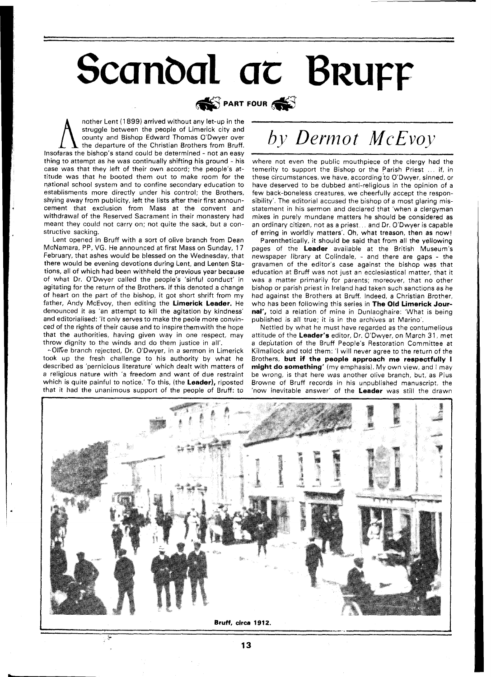## Scandal at Brurr



nother Lent (1 899) arrived without any let-up in the struggle between the people of Limerick city and county and Bishop Edward Thomas O'Dwyer over the departure of the Christian Brothers from Bruff. lnsofaras the bishop's stand could be determined - not an easy thing to attempt as he was continually shifting his ground - his case was that they left of their own accord; the people's attitude was that he booted them out to make room for the national school system and to confine secondary education to establisments more directly under his control; the Brothers, shying away from publicity, left the lists after their first announcement that exclusion from Mass at the convent and withdrawal of the Reserved Sacrament in their monastery had meant they could not carry on; not quite the sack, but a constructive sacking.

Lent opened in Bruff with a sort of olive branch from Dean McNamara, PP, VG. He announced at first Mass on Sunday, 17 February, that ashes would be blessed on the Wednesday, that there would be evening devotions during Lent, and Lenten Stations, all of which had been withheld the previous year because of what Dr. O'Dwyer called the people's 'sinful conduct' in agitating for the return of the Brothers. If this denoted a change of heart on the part of the bishop, it got short shrift from my father, Andy McEvoy, then editing the **Limerick Leader.** He denounced it as 'an attempt to kill the agitation by kindness' and editorialised: 'It only serves to make the peole more convinced of the rights of their cause and to inspirethemwith the hope that the authorities, having given way in one respect, may throw dignity to the winds and do them justice in all'.

+-Ol%e branch rejected, Dr. O'Dwyer, in a sermon in Limerick took up the fresh challenge to his authority by what he described as 'pernicious literature' which dealt with matters of a religious nature with 'a freedom and want of due restraint which is quite painful to notice.' To this, (the **Leader),** riposted that it had the unanimous support of the people of Bruff: to

## by Dermot McEvoy

where not even the public mouthpiece of the clergy had the temerity to support the Bishop or the Parish Priest ... if, in these circumstances, we have, according to O'Dwyer, sinned, or have deserved to be dubbed anti-religious in the opinion of a few back-boneless creatures, we cheerfully accept the responsibility'. The editorial accused the bishop of a most glaring misstatement in his sermon and declared that 'when a clergyman mixes in purely mundane matters he should be considered as an ordinary citizen, not as a priest... and Dr. O'Dwyer is capable of erring in worldly matters'. Oh, what treason, then as now!

Parenthetically, it should be said that from all the yellowing pages of the **Leader** available at the British Museum's newspaper library at Colindale, - and there are gaps - the gravamen of the editor's case against the bishop was that education at Bruff was not just an ecclesiastical matter, that it was a matter primarily for parents; moreover, that no other bishop or parish priest in Ireland had taken such sanctions as he had against the Brothers at Bruff. Indeed, a Christian Brother, who has been following this series in **The Old Limerick Journal',** told a relation of mine in Dunlaoghaire: 'What is being published is all true; it is in the archives at Marino'.

Nettled by what he must have regarded as the contumelious attitude of the **Leader's** editor, Dr. O'Dwyer, on March 31, met a dep'utation of the Bruff People's Restoration Committee at Kilmallock and told them: 'l will never agree to the return of the Brothers, **but if the people approach me respectfully I might do something'** (my emphasis). My own view, and I may be wrong, is that here was another olive branch, but, as Pius Browne of Bruff records in his unpublished manuscript, the 'now inevitable answer' of the **Leader** was still the drawn



 $13$